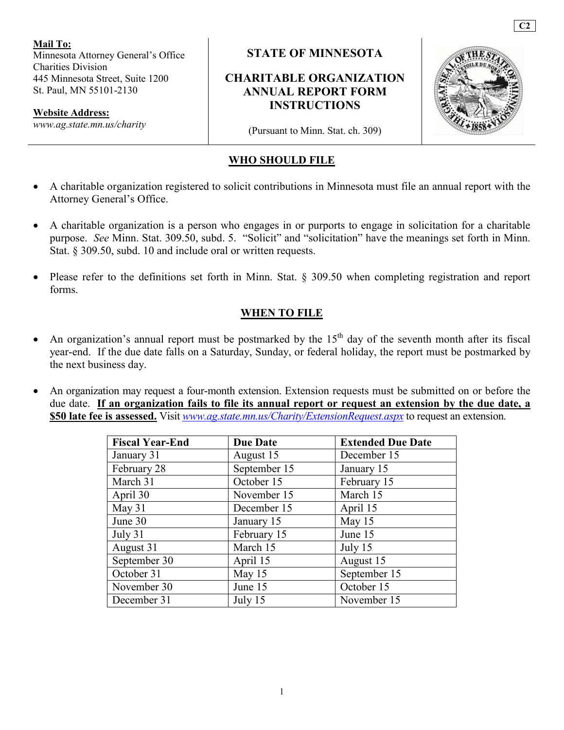**Mail To:**  Minnesota Attorney General's Office Charities Division 445 Minnesota Street, Suite 1200 St. Paul, MN 55101-2130

**Website Address:** 

*www.ag.state.mn.us/charity*

**STATE OF MINNESOTA** 

### **CHARITABLE ORGANIZATION ANNUAL REPORT FORM INSTRUCTIONS**



**C2** 

(Pursuant to Minn. Stat. ch. 309)

#### **WHO SHOULD FILE**

- A charitable organization registered to solicit contributions in Minnesota must file an annual report with the Attorney General's Office.
- A charitable organization is a person who engages in or purports to engage in solicitation for a charitable purpose. *See* Minn. Stat. 309.50, subd. 5. "Solicit" and "solicitation" have the meanings set forth in Minn. Stat. § 309.50, subd. 10 and include oral or written requests.
- Please refer to the definitions set forth in Minn. Stat. § 309.50 when completing registration and report forms.

#### **WHEN TO FILE**

- An organization's annual report must be postmarked by the  $15<sup>th</sup>$  day of the seventh month after its fiscal year-end. If the due date falls on a Saturday, Sunday, or federal holiday, the report must be postmarked by the next business day.
- An organization may request a four-month extension. Extension requests must be submitted on or before the due date. **If an organization fails to file its annual report or request an extension by the due date, a \$50 late fee is assessed.** Visit *www.ag.state.mn.us/Charity/ExtensionRequest.aspx* to request an extension.

| <b>Fiscal Year-End</b> | <b>Due Date</b> | <b>Extended Due Date</b> |
|------------------------|-----------------|--------------------------|
| January 31             | August 15       | December 15              |
| February 28            | September 15    | January 15               |
| March 31               | October 15      | February 15              |
| April 30               | November 15     | March 15                 |
| May 31                 | December 15     | April 15                 |
| June 30                | January 15      | May 15                   |
| July 31                | February 15     | June 15                  |
| August 31              | March 15        | July 15                  |
| September 30           | April 15        | August 15                |
| October 31             | May 15          | September 15             |
| November 30            | June 15         | October 15               |
| December 31            | July 15         | November 15              |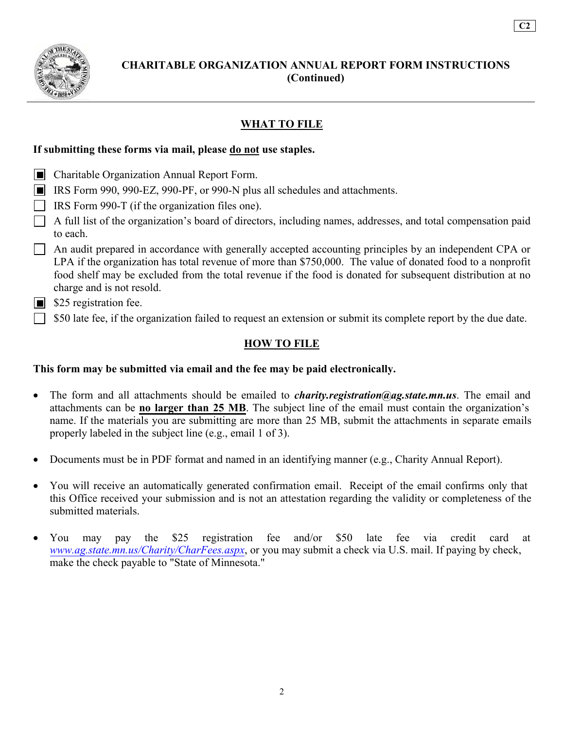

### **CHARITABLE ORGANIZATION ANNUAL REPORT FORM INSTRUCTIONS (Continued)**

**C2** 

### **WHAT TO FILE**

#### **If submitting these forms via mail, please do not use staples.**

- **Charitable Organization Annual Report Form.**
- IRS Form 990, 990-EZ, 990-PF, or 990-N plus all schedules and attachments.
- IRS Form 990-T (if the organization files one).
- A full list of the organization's board of directors, including names, addresses, and total compensation paid to each.
- $\Box$  An audit prepared in accordance with generally accepted accounting principles by an independent CPA or LPA if the organization has total revenue of more than \$750,000. The value of donated food to a nonprofit food shelf may be excluded from the total revenue if the food is donated for subsequent distribution at no charge and is not resold.
- $\blacksquare$  \$25 registration fee.
- $\Box$  \$50 late fee, if the organization failed to request an extension or submit its complete report by the due date.

#### **HOW TO FILE**

#### **This form may be submitted via email and the fee may be paid electronically.**

- The form and all attachments should be emailed to *charity.registration@ag.state.mn.us*. The email and attachments can be **no larger than 25 MB**. The subject line of the email must contain the organization's name. If the materials you are submitting are more than 25 MB, submit the attachments in separate emails properly labeled in the subject line (e.g., email 1 of 3).
- Documents must be in PDF format and named in an identifying manner (e.g., Charity Annual Report).
- You will receive an automatically generated confirmation email. Receipt of the email confirms only that this Office received your submission and is not an attestation regarding the validity or completeness of the submitted materials.
- You may pay the \$25 registration fee and/or \$50 late fee via credit card at *www.ag.state.mn.us/Charity/CharFees.aspx*, or you may submit a check via U.S. mail. If paying by check, make the check payable to "State of Minnesota."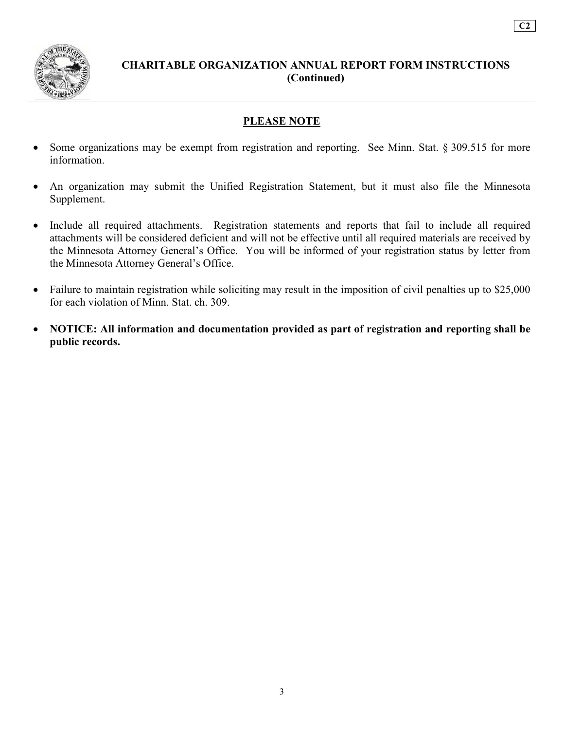

### **CHARITABLE ORGANIZATION ANNUAL REPORT FORM INSTRUCTIONS (Continued)**

**C2** 

#### **PLEASE NOTE**

- Some organizations may be exempt from registration and reporting. See Minn. Stat. § 309.515 for more information.
- An organization may submit the Unified Registration Statement, but it must also file the Minnesota Supplement.
- Include all required attachments. Registration statements and reports that fail to include all required attachments will be considered deficient and will not be effective until all required materials are received by the Minnesota Attorney General's Office. You will be informed of your registration status by letter from the Minnesota Attorney General's Office.
- Failure to maintain registration while soliciting may result in the imposition of civil penalties up to \$25,000 for each violation of Minn. Stat. ch. 309.
- **NOTICE: All information and documentation provided as part of registration and reporting shall be public records.**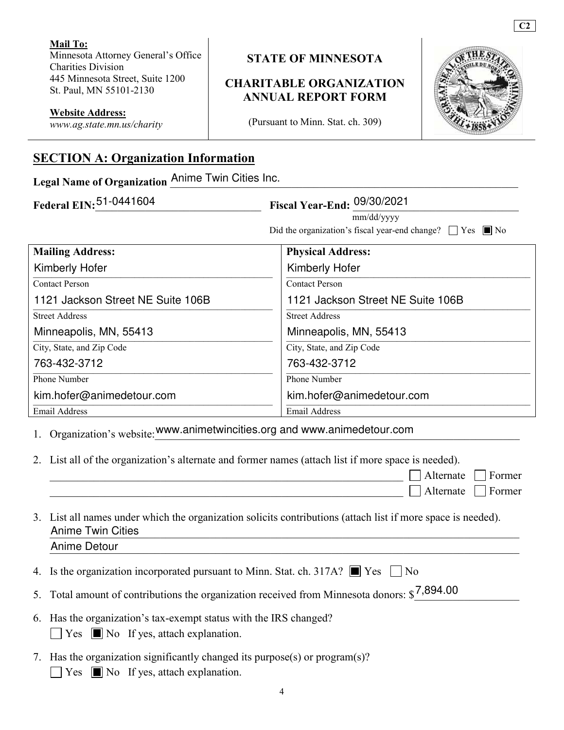**Mail To:**  Minnesota Attorney General's Office Charities Division 445 Minnesota Street, Suite 1200 St. Paul, MN 55101-2130

#### **STATE OF MINNESOTA**

### **CHARITABLE ORGANIZATION ANNUAL REPORT FORM**

**C2** 

**Website Address:** 

*www.ag.state.mn.us/charity*

(Pursuant to Minn. Stat. ch. 309)

# **SECTION A: Organization Information**

Legal Name of Organization Anime Twin Cities Inc.

| Federal EIN: 51-0441604<br>Fiscal Year-End: 09/30/2021 |                                                                     |
|--------------------------------------------------------|---------------------------------------------------------------------|
|                                                        | mm/dd/yyyy                                                          |
|                                                        | Did the organization's fiscal year-end change? $\Box$ Yes $\Box$ No |
| <b>Mailing Address:</b>                                | <b>Physical Address:</b>                                            |
| <b>Kimberly Hofer</b>                                  | <b>Kimberly Hofer</b>                                               |
| <b>Contact Person</b>                                  | <b>Contact Person</b>                                               |
| 1121 Jackson Street NE Suite 106B                      | 1121 Jackson Street NE Suite 106B                                   |
| <b>Street Address</b>                                  | <b>Street Address</b>                                               |
| Minneapolis, MN, 55413                                 | Minneapolis, MN, 55413                                              |
| City, State, and Zip Code                              | City, State, and Zip Code                                           |
| 763-432-3712                                           | 763-432-3712                                                        |
| <b>Phone Number</b>                                    | <b>Phone Number</b>                                                 |
| kim.hofer@animedetour.com                              | kim.hofer@animedetour.com                                           |
| Email Address                                          | Email Address                                                       |

1. Organization's website: www.animetwincities.org and www.animedetour.com

2. List all of the organization's alternate and former names (attach list if more space is needed).

 $\Box$  Alternate  $\Box$  Former  $\Box$  Alternate  $\Box$  Former

| 3. List all names under which the organization solicits contributions (attach list if more space is needed). |
|--------------------------------------------------------------------------------------------------------------|
| <b>Anime Twin Cities</b>                                                                                     |
| Anime Detour                                                                                                 |

4. Is the organization incorporated pursuant to Minn. Stat. ch. 317A?  $\Box$  Yes  $\Box$  No

| 5. Total amount of contributions the organization received from Minnesota donors: $\frac{$7,894.00}{}$ |  |
|--------------------------------------------------------------------------------------------------------|--|
|                                                                                                        |  |

- 6. Has the organization's tax-exempt status with the IRS changed?  $\Box$  Yes  $\Box$  No If yes, attach explanation.
- 7. Has the organization significantly changed its purpose(s) or program(s)?  $\Box$  Yes  $\Box$  No If yes, attach explanation.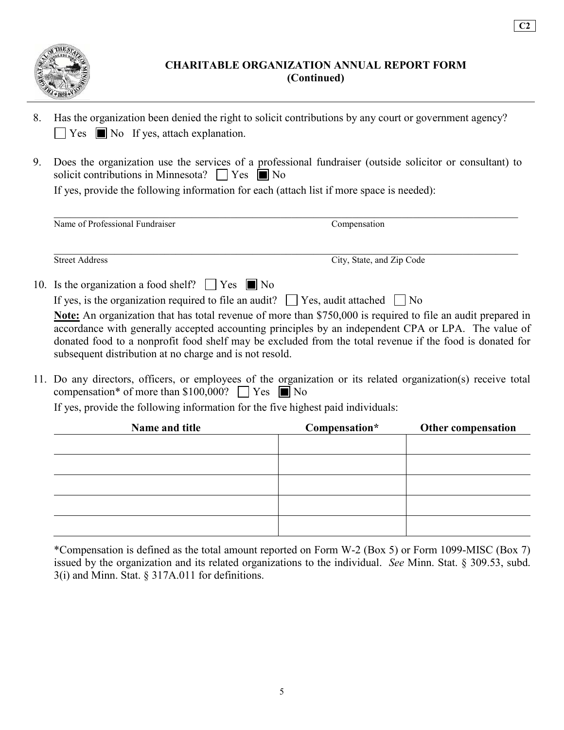

**C2** 

- 8. Has the organization been denied the right to solicit contributions by any court or government agency?  $\Box$  Yes  $\Box$  No If yes, attach explanation.
- 9. Does the organization use the services of a professional fundraiser (outside solicitor or consultant) to solicit contributions in Minnesota?  $\Box$  Yes  $\Box$  No

If yes, provide the following information for each (attach list if more space is needed):

| Name of Professional Fundraiser | Compensation |  |
|---------------------------------|--------------|--|
|                                 |              |  |
|                                 |              |  |
|                                 |              |  |

10. Is the organization a food shelf?  $\Box$  Yes  $\Box$  No

|  |  |  |  |  | If yes, is the organization required to file an audit? $\Box$ Yes, audit attached $\Box$ No |  |
|--|--|--|--|--|---------------------------------------------------------------------------------------------|--|
|--|--|--|--|--|---------------------------------------------------------------------------------------------|--|

Street Address City, State, and Zip Code

**Note:** An organization that has total revenue of more than \$750,000 is required to file an audit prepared in accordance with generally accepted accounting principles by an independent CPA or LPA. The value of donated food to a nonprofit food shelf may be excluded from the total revenue if the food is donated for subsequent distribution at no charge and is not resold.

11. Do any directors, officers, or employees of the organization or its related organization(s) receive total compensation\* of more than \$100,000?  $\Box$  Yes  $\Box$  No

If yes, provide the following information for the five highest paid individuals:

| Name and title | Compensation* | Other compensation |
|----------------|---------------|--------------------|
|                |               |                    |
|                |               |                    |
|                |               |                    |
|                |               |                    |
|                |               |                    |
|                |               |                    |

\*Compensation is defined as the total amount reported on Form W-2 (Box 5) or Form 1099-MISC (Box 7) issued by the organization and its related organizations to the individual. *See* Minn. Stat. § 309.53, subd.  $3(i)$  and Minn. Stat. § 317A.011 for definitions.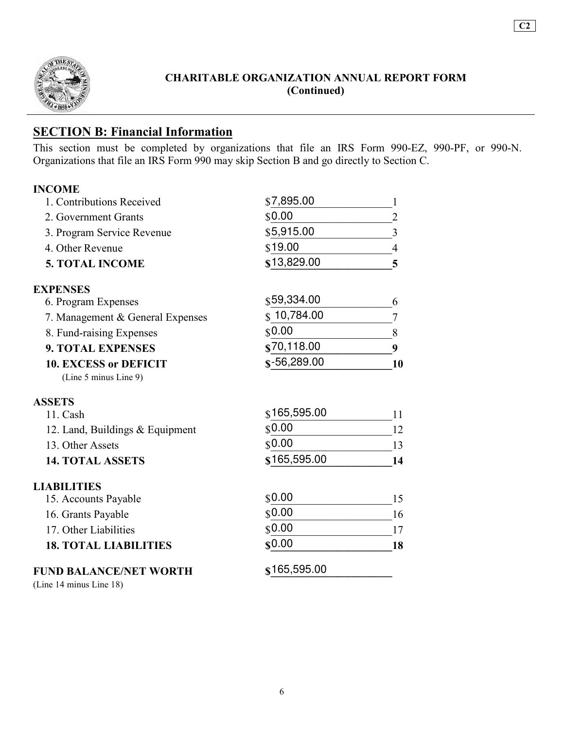

**C2** 

### **SECTION B: Financial Information**

This section must be completed by organizations that file an IRS Form 990-EZ, 990-PF, or 990-N. Organizations that file an IRS Form 990 may skip Section B and go directly to Section C.

| <b>INCOME</b>                    |                          |    |
|----------------------------------|--------------------------|----|
| 1. Contributions Received        | \$7,895.00               |    |
| 2. Government Grants             | \$0.00                   |    |
| 3. Program Service Revenue       | \$5,915.00               |    |
| 4. Other Revenue                 | \$19.00                  |    |
| <b>5. TOTAL INCOME</b>           | \$13,829.00              |    |
| <b>EXPENSES</b>                  |                          |    |
| 6. Program Expenses              | \$59,334.00              |    |
| 7. Management & General Expenses | 10,784.00                |    |
| 8. Fund-raising Expenses         | \$0.00                   | 8  |
| <b>9. TOTAL EXPENSES</b>         | \$70,118.00              | 9  |
| <b>10. EXCESS or DEFICIT</b>     | $\frac{1}{2}$ -56,289.00 | 10 |
| (Line 5 minus Line 9)            |                          |    |

#### **ASSETS**

| $11.$ Cash                      | \$165,595.00 |    |
|---------------------------------|--------------|----|
| 12. Land, Buildings & Equipment | \$0.00       |    |
| 13. Other Assets                | \$0.00       |    |
| <b>14. TOTAL ASSETS</b>         | \$165,595.00 | 14 |

#### **LIABILITIES**

| <b>18. TOTAL LIABILITIES</b> | \$0.00 | 18  |
|------------------------------|--------|-----|
| 17. Other Liabilities        | \$0.00 |     |
| 16. Grants Payable           | \$0.00 | 16. |
| 15. Accounts Payable         | \$0.00 |     |

#### **FUND BALANCE/NET WORTH**

(Line 14 minus Line 18)

| \$0.00 |  |
|--------|--|
| \$0.00 |  |
| \$0.00 |  |
| \$0.00 |  |
|        |  |

### 165,595.00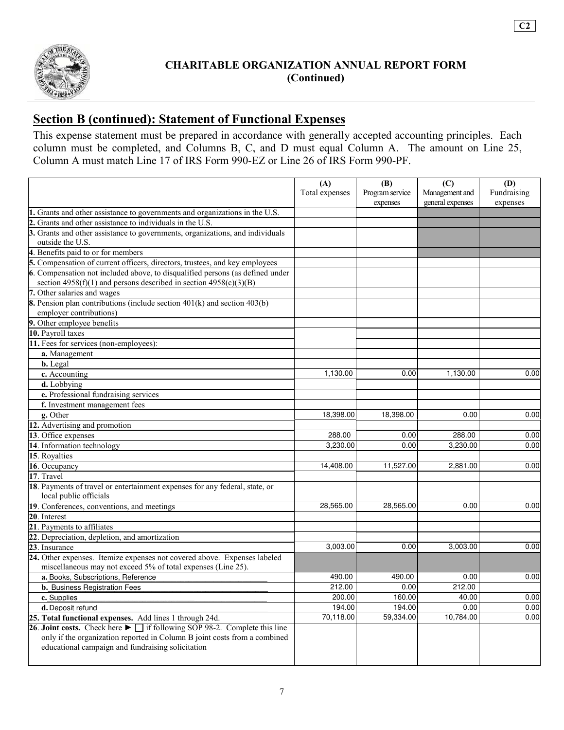

## **Section B (continued): Statement of Functional Expenses**

This expense statement must be prepared in accordance with generally accepted accounting principles. Each column must be completed, and Columns B, C, and D must equal Column A. The amount on Line 25, Column A must match Line 17 of IRS Form 990-EZ or Line 26 of IRS Form 990-PF.

|                                                                                                                                                                                                                                      | (A)<br>Total expenses | (B)<br>Program service<br>expenses | (C)<br>Management and<br>general expenses | <b>(D)</b><br>Fundraising<br>expenses |
|--------------------------------------------------------------------------------------------------------------------------------------------------------------------------------------------------------------------------------------|-----------------------|------------------------------------|-------------------------------------------|---------------------------------------|
| 1. Grants and other assistance to governments and organizations in the U.S.                                                                                                                                                          |                       |                                    |                                           |                                       |
| 2. Grants and other assistance to individuals in the U.S.                                                                                                                                                                            |                       |                                    |                                           |                                       |
| 3. Grants and other assistance to governments, organizations, and individuals                                                                                                                                                        |                       |                                    |                                           |                                       |
| outside the U.S.                                                                                                                                                                                                                     |                       |                                    |                                           |                                       |
| 4. Benefits paid to or for members                                                                                                                                                                                                   |                       |                                    |                                           |                                       |
| 5. Compensation of current officers, directors, trustees, and key employees                                                                                                                                                          |                       |                                    |                                           |                                       |
| 6. Compensation not included above, to disqualified persons (as defined under<br>section $4958(f)(1)$ and persons described in section $4958(c)(3)(B)$                                                                               |                       |                                    |                                           |                                       |
| 7. Other salaries and wages                                                                                                                                                                                                          |                       |                                    |                                           |                                       |
| <b>8.</b> Pension plan contributions (include section $401(k)$ and section $403(b)$                                                                                                                                                  |                       |                                    |                                           |                                       |
| employer contributions)                                                                                                                                                                                                              |                       |                                    |                                           |                                       |
| 9. Other employee benefits                                                                                                                                                                                                           |                       |                                    |                                           |                                       |
| 10. Payroll taxes                                                                                                                                                                                                                    |                       |                                    |                                           |                                       |
| 11. Fees for services (non-employees):                                                                                                                                                                                               |                       |                                    |                                           |                                       |
| a. Management                                                                                                                                                                                                                        |                       |                                    |                                           |                                       |
| <b>b.</b> Legal                                                                                                                                                                                                                      |                       |                                    |                                           |                                       |
| c. Accounting                                                                                                                                                                                                                        | 1,130.00              | 0.00                               | 1,130.00                                  | 0.00                                  |
| d. Lobbying                                                                                                                                                                                                                          |                       |                                    |                                           |                                       |
| e. Professional fundraising services                                                                                                                                                                                                 |                       |                                    |                                           |                                       |
| f. Investment management fees                                                                                                                                                                                                        |                       |                                    |                                           |                                       |
| g. Other                                                                                                                                                                                                                             | 18,398.00             | 18,398.00                          | 0.00                                      | 0.00                                  |
| 12. Advertising and promotion                                                                                                                                                                                                        |                       |                                    |                                           |                                       |
| 13. Office expenses                                                                                                                                                                                                                  | 288.00                | 0.00                               | 288.00                                    | 0.00                                  |
| 14. Information technology                                                                                                                                                                                                           | 3,230.00              | 0.00                               | 3,230.00                                  | 0.00                                  |
| 15. Royalties                                                                                                                                                                                                                        |                       |                                    |                                           |                                       |
| 16. Occupancy                                                                                                                                                                                                                        | 14,408.00             | 11,527.00                          | 2,881.00                                  | 0.00                                  |
| 17. Travel                                                                                                                                                                                                                           |                       |                                    |                                           |                                       |
| 18. Payments of travel or entertainment expenses for any federal, state, or<br>local public officials                                                                                                                                |                       |                                    |                                           |                                       |
| 19. Conferences, conventions, and meetings                                                                                                                                                                                           | 28,565.00             | 28,565.00                          | 0.00                                      | 0.00                                  |
| 20. Interest                                                                                                                                                                                                                         |                       |                                    |                                           |                                       |
| 21. Payments to affiliates                                                                                                                                                                                                           |                       |                                    |                                           |                                       |
| 22. Depreciation, depletion, and amortization                                                                                                                                                                                        |                       |                                    |                                           |                                       |
| 23. Insurance                                                                                                                                                                                                                        | 3,003.00              | 0.00                               | 3,003.00                                  | 0.00                                  |
| 24. Other expenses. Itemize expenses not covered above. Expenses labeled<br>miscellaneous may not exceed 5% of total expenses (Line 25).                                                                                             |                       |                                    |                                           |                                       |
|                                                                                                                                                                                                                                      | 490.00                | 490.00                             | 0.00                                      | 0.00                                  |
| a. Books, Subscriptions, Reference                                                                                                                                                                                                   | 212.00                | 0.00                               | 212.00                                    |                                       |
| b. Business Registration Fees                                                                                                                                                                                                        | 200.00                | 160.00                             | 40.00                                     | 0.00                                  |
| c. Supplies                                                                                                                                                                                                                          | 194.00                | 194.00                             | 0.00                                      | 0.00                                  |
| d. Deposit refund                                                                                                                                                                                                                    |                       |                                    |                                           |                                       |
| 25. Total functional expenses. Add lines 1 through 24d.                                                                                                                                                                              | 70,118.00             | 59,334.00                          | 10,784.00                                 | 0.00                                  |
| 26. Joint costs. Check here $\blacktriangleright$ $\Box$ if following SOP 98-2. Complete this line<br>only if the organization reported in Column B joint costs from a combined<br>educational campaign and fundraising solicitation |                       |                                    |                                           |                                       |

**C2**